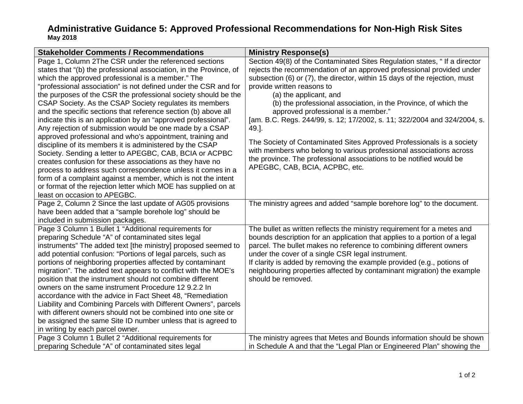## **Administrative Guidance 5: Approved Professional Recommendations for Non-High Risk Sites May 2018**

| <b>Stakeholder Comments / Recommendations</b>                                                                                                                                                                                                                                                                                                                                                                                                                                                                                                                                                                                                                                                                                                                                                                                                                                                                                                                                                                                                                     | <b>Ministry Response(s)</b>                                                                                                                                                                                                                                                                                                                                                                                                                                                                                                                                                                                                                                                                                                                      |
|-------------------------------------------------------------------------------------------------------------------------------------------------------------------------------------------------------------------------------------------------------------------------------------------------------------------------------------------------------------------------------------------------------------------------------------------------------------------------------------------------------------------------------------------------------------------------------------------------------------------------------------------------------------------------------------------------------------------------------------------------------------------------------------------------------------------------------------------------------------------------------------------------------------------------------------------------------------------------------------------------------------------------------------------------------------------|--------------------------------------------------------------------------------------------------------------------------------------------------------------------------------------------------------------------------------------------------------------------------------------------------------------------------------------------------------------------------------------------------------------------------------------------------------------------------------------------------------------------------------------------------------------------------------------------------------------------------------------------------------------------------------------------------------------------------------------------------|
| Page 1, Column 2The CSR under the referenced sections<br>states that "(b) the professional association, in the Province, of<br>which the approved professional is a member." The<br>"professional association" is not defined under the CSR and for<br>the purposes of the CSR the professional society should be the<br>CSAP Society. As the CSAP Society regulates its members<br>and the specific sections that reference section (b) above all<br>indicate this is an application by an "approved professional".<br>Any rejection of submission would be one made by a CSAP<br>approved professional and who's appointment, training and<br>discipline of its members it is administered by the CSAP<br>Society. Sending a letter to APEGBC, CAB, BCIA or ACPBC<br>creates confusion for these associations as they have no<br>process to address such correspondence unless it comes in a<br>form of a complaint against a member, which is not the intent<br>or format of the rejection letter which MOE has supplied on at<br>least on occasion to APEGBC. | Section 49(8) of the Contaminated Sites Regulation states, "If a director<br>rejects the recommendation of an approved professional provided under<br>subsection (6) or (7), the director, within 15 days of the rejection, must<br>provide written reasons to<br>(a) the applicant, and<br>(b) the professional association, in the Province, of which the<br>approved professional is a member."<br>[am. B.C. Regs. 244/99, s. 12; 17/2002, s. 11; 322/2004 and 324/2004, s.<br>49.].<br>The Society of Contaminated Sites Approved Professionals is a society<br>with members who belong to various professional associations across<br>the province. The professional associations to be notified would be<br>APEGBC, CAB, BCIA, ACPBC, etc. |
| Page 2, Column 2 Since the last update of AG05 provisions<br>have been added that a "sample borehole log" should be<br>included in submission packages.                                                                                                                                                                                                                                                                                                                                                                                                                                                                                                                                                                                                                                                                                                                                                                                                                                                                                                           | The ministry agrees and added "sample borehore log" to the document.                                                                                                                                                                                                                                                                                                                                                                                                                                                                                                                                                                                                                                                                             |
| Page 3 Column 1 Bullet 1 "Additional requirements for<br>preparing Schedule "A" of contaminated sites legal<br>instruments" The added text [the ministry] proposed seemed to<br>add potential confusion: "Portions of legal parcels, such as<br>portions of neighboring properties affected by contaminant<br>migration". The added text appears to conflict with the MOE's<br>position that the instrument should not combine different<br>owners on the same instrument Procedure 12 9.2.2 In<br>accordance with the advice in Fact Sheet 48, "Remediation<br>Liability and Combining Parcels with Different Owners", parcels<br>with different owners should not be combined into one site or<br>be assigned the same Site ID number unless that is agreed to<br>in writing by each parcel owner.                                                                                                                                                                                                                                                              | The bullet as written reflects the ministry requirement for a metes and<br>bounds description for an application that applies to a portion of a legal<br>parcel. The bullet makes no reference to combining different owners<br>under the cover of a single CSR legal instrument.<br>If clarity is added by removing the example provided (e.g., potions of<br>neighbouring properties affected by contaminant migration) the example<br>should be removed.                                                                                                                                                                                                                                                                                      |
| Page 3 Column 1 Bullet 2 "Additional requirements for<br>preparing Schedule "A" of contaminated sites legal                                                                                                                                                                                                                                                                                                                                                                                                                                                                                                                                                                                                                                                                                                                                                                                                                                                                                                                                                       | The ministry agrees that Metes and Bounds information should be shown<br>in Schedule A and that the "Legal Plan or Engineered Plan" showing the                                                                                                                                                                                                                                                                                                                                                                                                                                                                                                                                                                                                  |